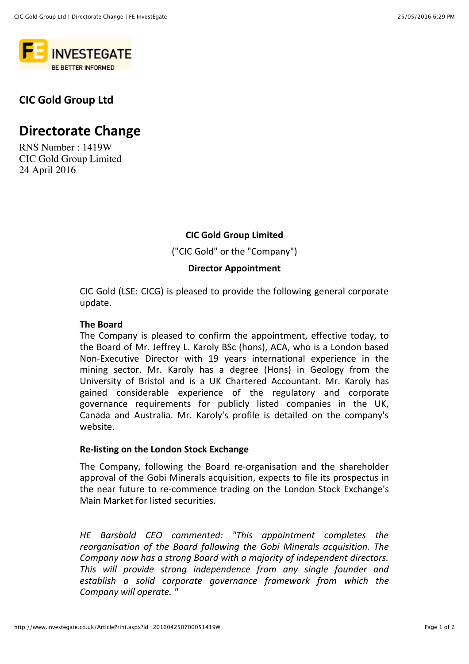

### **CIC Gold Group Ltd**

# **Directorate Change**

RNS Number : 1419W CIC Gold Group Limited 24 April 2016

#### **CIC Gold Group Limited**

("CIC Gold" or the "Company")

#### **Director Appointment**

CIC Gold (LSE: CICG) is pleased to provide the following general corporate update.

#### **7he Board**

The Company is pleased to confirm the appointment, effective today, to the Board of Mr. Jeffrey L. Karoly BSc (hons), ACA, who is a London based Non-Executive Director with 19 years international experience in the mining sector. Mr. Karoly has a degree (Hons) in Geology from the University of Bristol and is a UK Chartered Accountant. Mr. Karoly has gained considerable experience of the regulatory and corporate governance requirements for publicly listed companies in the UK, Canada and Australia. Mr. Karoly's profile is detailed on the company's website.

#### **Re-listing on the London Stock Exchange**

The Company, following the Board re-organisation and the shareholder approval of the Gobi Minerals acquisition, expects to file its prospectus in the near future to re-commence trading on the London Stock Exchange's Main Market for listed securities.

*HE Barsbold CEO commented: "This appointment completes the* reorganisation of the Board following the Gobi Minerals acquisition. The Company now has a strong Board with a majority of independent directors. This will provide strong independence from any single founder and establish a solid corporate governance framework from which the Company will operate. "